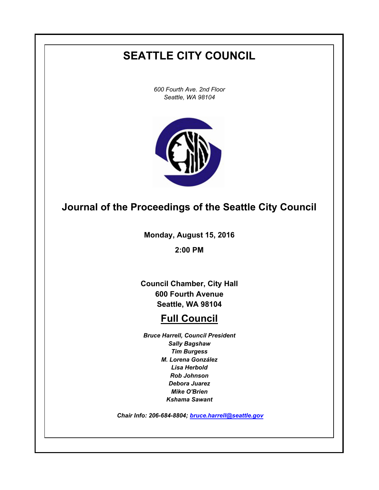# **SEATTLE CITY COUNCIL**

*600 Fourth Ave. 2nd Floor Seattle, WA 98104*



# **Journal of the Proceedings of the Seattle City Council**

**Monday, August 15, 2016**

**2:00 PM**

**Council Chamber, City Hall 600 Fourth Avenue Seattle, WA 98104**

# **Full Council**

*Bruce Harrell, Council President Sally Bagshaw Tim Burgess M. Lorena González Lisa Herbold Rob Johnson Debora Juarez Mike O'Brien Kshama Sawant*

 *Chair Info: 206-684-8804; [bruce.harrell@seattle.gov](mailto:bruce.harrell@seattle.gov)*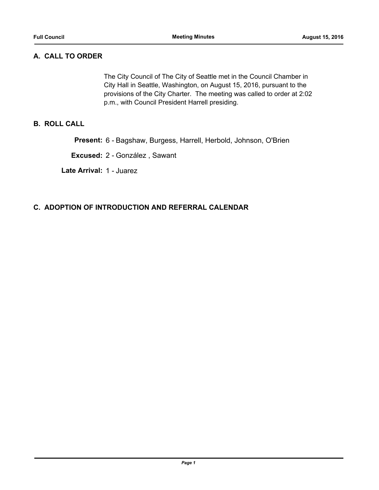# **A. CALL TO ORDER**

The City Council of The City of Seattle met in the Council Chamber in City Hall in Seattle, Washington, on August 15, 2016, pursuant to the provisions of the City Charter. The meeting was called to order at 2:02 p.m., with Council President Harrell presiding.

# **B. ROLL CALL**

**Present:** 6 - Bagshaw, Burgess, Harrell, Herbold, Johnson, O'Brien

**Excused:** 2 - González , Sawant

**Late Arrival:** 1 - Juarez

## **C. ADOPTION OF INTRODUCTION AND REFERRAL CALENDAR**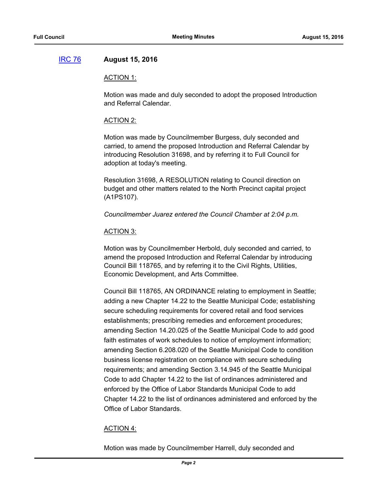## [IRC 76](http://seattle.legistar.com/gateway.aspx?m=l&id=/matter.aspx?key=4442) **August 15, 2016**

#### ACTION 1:

Motion was made and duly seconded to adopt the proposed Introduction and Referral Calendar.

#### ACTION 2:

Motion was made by Councilmember Burgess, duly seconded and carried, to amend the proposed Introduction and Referral Calendar by introducing Resolution 31698, and by referring it to Full Council for adoption at today's meeting.

Resolution 31698, A RESOLUTION relating to Council direction on budget and other matters related to the North Precinct capital project (A1PS107).

*Councilmember Juarez entered the Council Chamber at 2:04 p.m.*

#### ACTION 3:

Motion was by Councilmember Herbold, duly seconded and carried, to amend the proposed Introduction and Referral Calendar by introducing Council Bill 118765, and by referring it to the Civil Rights, Utilities, Economic Development, and Arts Committee.

Council Bill 118765, AN ORDINANCE relating to employment in Seattle; adding a new Chapter 14.22 to the Seattle Municipal Code; establishing secure scheduling requirements for covered retail and food services establishments; prescribing remedies and enforcement procedures; amending Section 14.20.025 of the Seattle Municipal Code to add good faith estimates of work schedules to notice of employment information; amending Section 6.208.020 of the Seattle Municipal Code to condition business license registration on compliance with secure scheduling requirements; and amending Section 3.14.945 of the Seattle Municipal Code to add Chapter 14.22 to the list of ordinances administered and enforced by the Office of Labor Standards Municipal Code to add Chapter 14.22 to the list of ordinances administered and enforced by the Office of Labor Standards.

#### ACTION 4:

Motion was made by Councilmember Harrell, duly seconded and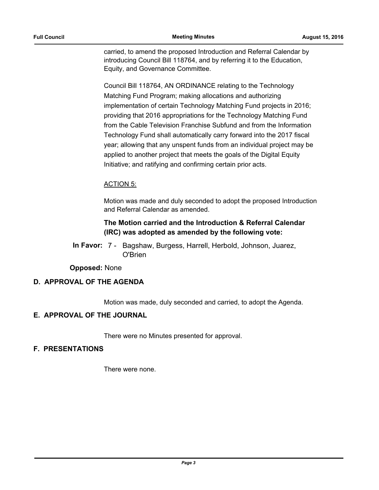carried, to amend the proposed Introduction and Referral Calendar by introducing Council Bill 118764, and by referring it to the Education, Equity, and Governance Committee.

Council Bill 118764, AN ORDINANCE relating to the Technology Matching Fund Program; making allocations and authorizing implementation of certain Technology Matching Fund projects in 2016; providing that 2016 appropriations for the Technology Matching Fund from the Cable Television Franchise Subfund and from the Information Technology Fund shall automatically carry forward into the 2017 fiscal year; allowing that any unspent funds from an individual project may be applied to another project that meets the goals of the Digital Equity Initiative; and ratifying and confirming certain prior acts.

## ACTION 5:

Motion was made and duly seconded to adopt the proposed Introduction and Referral Calendar as amended.

# **The Motion carried and the Introduction & Referral Calendar (IRC) was adopted as amended by the following vote:**

In Favor: 7 - Bagshaw, Burgess, Harrell, Herbold, Johnson, Juarez, O'Brien

**Opposed:** None

# **D. APPROVAL OF THE AGENDA**

Motion was made, duly seconded and carried, to adopt the Agenda.

## **E. APPROVAL OF THE JOURNAL**

There were no Minutes presented for approval.

## **F. PRESENTATIONS**

There were none.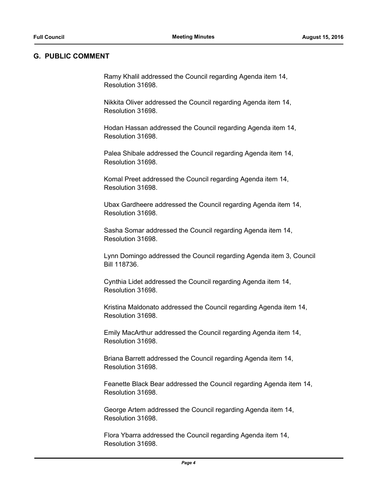#### **G. PUBLIC COMMENT**

Ramy Khalil addressed the Council regarding Agenda item 14, Resolution 31698.

Nikkita Oliver addressed the Council regarding Agenda item 14, Resolution 31698.

Hodan Hassan addressed the Council regarding Agenda item 14, Resolution 31698.

Palea Shibale addressed the Council regarding Agenda item 14, Resolution 31698.

Komal Preet addressed the Council regarding Agenda item 14, Resolution 31698.

Ubax Gardheere addressed the Council regarding Agenda item 14, Resolution 31698.

Sasha Somar addressed the Council regarding Agenda item 14, Resolution 31698.

Lynn Domingo addressed the Council regarding Agenda item 3, Council Bill 118736.

Cynthia Lidet addressed the Council regarding Agenda item 14, Resolution 31698.

Kristina Maldonato addressed the Council regarding Agenda item 14, Resolution 31698.

Emily MacArthur addressed the Council regarding Agenda item 14, Resolution 31698.

Briana Barrett addressed the Council regarding Agenda item 14, Resolution 31698.

Feanette Black Bear addressed the Council regarding Agenda item 14, Resolution 31698.

George Artem addressed the Council regarding Agenda item 14, Resolution 31698.

Flora Ybarra addressed the Council regarding Agenda item 14, Resolution 31698.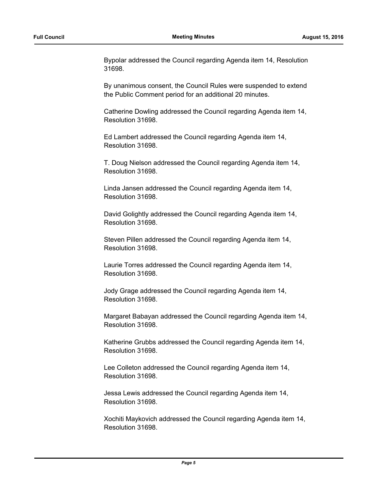Bypolar addressed the Council regarding Agenda item 14, Resolution 31698.

By unanimous consent, the Council Rules were suspended to extend the Public Comment period for an additional 20 minutes.

Catherine Dowling addressed the Council regarding Agenda item 14, Resolution 31698.

Ed Lambert addressed the Council regarding Agenda item 14, Resolution 31698.

T. Doug Nielson addressed the Council regarding Agenda item 14, Resolution 31698.

Linda Jansen addressed the Council regarding Agenda item 14, Resolution 31698.

David Golightly addressed the Council regarding Agenda item 14, Resolution 31698.

Steven Pillen addressed the Council regarding Agenda item 14, Resolution 31698.

Laurie Torres addressed the Council regarding Agenda item 14, Resolution 31698.

Jody Grage addressed the Council regarding Agenda item 14, Resolution 31698.

Margaret Babayan addressed the Council regarding Agenda item 14, Resolution 31698.

Katherine Grubbs addressed the Council regarding Agenda item 14, Resolution 31698.

Lee Colleton addressed the Council regarding Agenda item 14, Resolution 31698.

Jessa Lewis addressed the Council regarding Agenda item 14, Resolution 31698.

Xochiti Maykovich addressed the Council regarding Agenda item 14, Resolution 31698.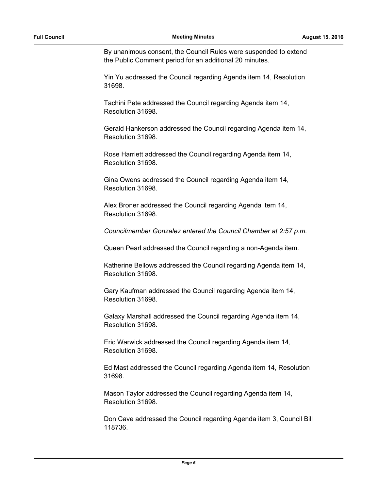By unanimous consent, the Council Rules were suspended to extend the Public Comment period for an additional 20 minutes.

Yin Yu addressed the Council regarding Agenda item 14, Resolution 31698.

Tachini Pete addressed the Council regarding Agenda item 14, Resolution 31698.

Gerald Hankerson addressed the Council regarding Agenda item 14, Resolution 31698.

Rose Harriett addressed the Council regarding Agenda item 14, Resolution 31698.

Gina Owens addressed the Council regarding Agenda item 14, Resolution 31698.

Alex Broner addressed the Council regarding Agenda item 14, Resolution 31698.

*Councilmember Gonzalez entered the Council Chamber at 2:57 p.m.*

Queen Pearl addressed the Council regarding a non-Agenda item.

Katherine Bellows addressed the Council regarding Agenda item 14, Resolution 31698.

Gary Kaufman addressed the Council regarding Agenda item 14, Resolution 31698.

Galaxy Marshall addressed the Council regarding Agenda item 14, Resolution 31698.

Eric Warwick addressed the Council regarding Agenda item 14, Resolution 31698.

Ed Mast addressed the Council regarding Agenda item 14, Resolution 31698.

Mason Taylor addressed the Council regarding Agenda item 14, Resolution 31698.

Don Cave addressed the Council regarding Agenda item 3, Council Bill 118736.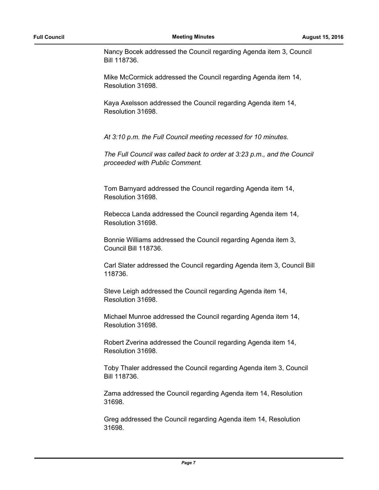Nancy Bocek addressed the Council regarding Agenda item 3, Council Bill 118736.

Mike McCormick addressed the Council regarding Agenda item 14, Resolution 31698.

Kaya Axelsson addressed the Council regarding Agenda item 14, Resolution 31698.

*At 3:10 p.m. the Full Council meeting recessed for 10 minutes.*

*The Full Council was called back to order at 3:23 p.m., and the Council proceeded with Public Comment.*

Tom Barnyard addressed the Council regarding Agenda item 14, Resolution 31698.

Rebecca Landa addressed the Council regarding Agenda item 14, Resolution 31698.

Bonnie Williams addressed the Council regarding Agenda item 3, Council Bill 118736.

Carl Slater addressed the Council regarding Agenda item 3, Council Bill 118736.

Steve Leigh addressed the Council regarding Agenda item 14, Resolution 31698.

Michael Munroe addressed the Council regarding Agenda item 14, Resolution 31698.

Robert Zverina addressed the Council regarding Agenda item 14, Resolution 31698.

Toby Thaler addressed the Council regarding Agenda item 3, Council Bill 118736.

Zama addressed the Council regarding Agenda item 14, Resolution 31698.

Greg addressed the Council regarding Agenda item 14, Resolution 31698.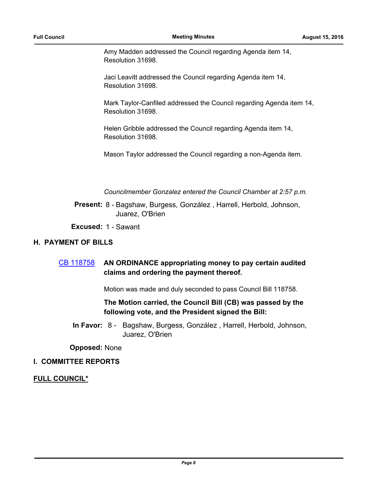Amy Madden addressed the Council regarding Agenda item 14, Resolution 31698.

Jaci Leavitt addressed the Council regarding Agenda item 14, Resolution 31698.

Mark Taylor-Canfiled addressed the Council regarding Agenda item 14, Resolution 31698.

Helen Gribble addressed the Council regarding Agenda item 14, Resolution 31698.

Mason Taylor addressed the Council regarding a non-Agenda item.

*Councilmember Gonzalez entered the Council Chamber at 2:57 p.m.*

Present: 8 - Bagshaw, Burgess, González, Harrell, Herbold, Johnson, Juarez, O'Brien

**Excused:** 1 - Sawant

## **H. PAYMENT OF BILLS**

# [CB 118758](http://seattle.legistar.com/gateway.aspx?m=l&id=/matter.aspx?key=4431) **AN ORDINANCE appropriating money to pay certain audited claims and ordering the payment thereof.**

Motion was made and duly seconded to pass Council Bill 118758.

## **The Motion carried, the Council Bill (CB) was passed by the following vote, and the President signed the Bill:**

In Favor: 8 - Bagshaw, Burgess, González, Harrell, Herbold, Johnson, Juarez, O'Brien

**Opposed:** None

## **I. COMMITTEE REPORTS**

#### **FULL COUNCIL\***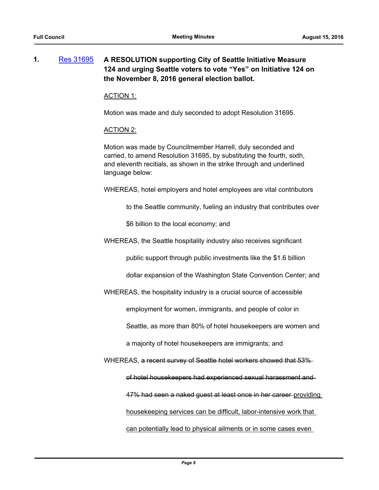# **1.** [Res 31695](http://seattle.legistar.com/gateway.aspx?m=l&id=/matter.aspx?key=4407) **A RESOLUTION supporting City of Seattle Initiative Measure 124 and urging Seattle voters to vote "Yes" on Initiative 124 on the November 8, 2016 general election ballot.**

#### ACTION 1:

Motion was made and duly seconded to adopt Resolution 31695.

#### ACTION 2:

Motion was made by Councilmember Harrell, duly seconded and carried, to amend Resolution 31695, by substituting the fourth, sixth, and eleventh recitials, as shown in the strike through and underlined language below:

WHEREAS, hotel employers and hotel employees are vital contributors

to the Seattle community, fueling an industry that contributes over

\$6 billion to the local economy; and

WHEREAS, the Seattle hospitality industry also receives significant

public support through public investments like the \$1.6 billion

dollar expansion of the Washington State Convention Center; and

WHEREAS, the hospitality industry is a crucial source of accessible

employment for women, immigrants, and people of color in

Seattle, as more than 80% of hotel housekeepers are women and

a majority of hotel housekeepers are immigrants; and

WHEREAS, a recent survey of Seattle hotel workers showed that 53%

of hotel housekeepers had experienced sexual harassment and

47% had seen a naked quest at least once in her career providing

housekeeping services can be difficult, labor-intensive work that

can potentially lead to physical ailments or in some cases even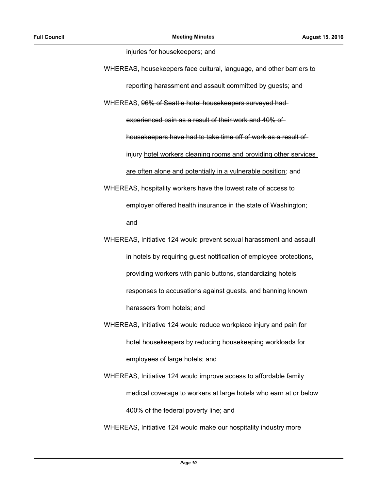#### injuries for housekeepers; and

WHEREAS, housekeepers face cultural, language, and other barriers to reporting harassment and assault committed by guests; and WHEREAS, 96% of Seattle hotel housekeepers surveyed had experienced pain as a result of their work and 40% of housekeepers have had to take time off of work as a result of injury hotel workers cleaning rooms and providing other services are often alone and potentially in a vulnerable position; and WHEREAS, hospitality workers have the lowest rate of access to employer offered health insurance in the state of Washington;

and

- WHEREAS, Initiative 124 would prevent sexual harassment and assault in hotels by requiring guest notification of employee protections, providing workers with panic buttons, standardizing hotels' responses to accusations against guests, and banning known harassers from hotels; and
- WHEREAS, Initiative 124 would reduce workplace injury and pain for hotel housekeepers by reducing housekeeping workloads for employees of large hotels; and
- WHEREAS, Initiative 124 would improve access to affordable family medical coverage to workers at large hotels who earn at or below 400% of the federal poverty line; and
- WHEREAS, Initiative 124 would make our hospitality industry more-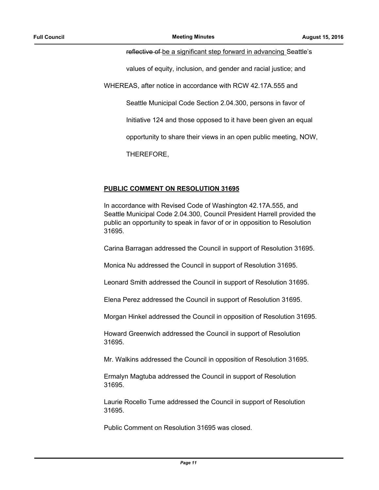#### reflective of be a significant step forward in advancing Seattle's

values of equity, inclusion, and gender and racial justice; and

WHEREAS, after notice in accordance with RCW 42.17A.555 and

Seattle Municipal Code Section 2.04.300, persons in favor of

Initiative 124 and those opposed to it have been given an equal

opportunity to share their views in an open public meeting, NOW,

THEREFORE,

#### **PUBLIC COMMENT ON RESOLUTION 31695**

In accordance with Revised Code of Washington 42.17A.555, and Seattle Municipal Code 2.04.300, Council President Harrell provided the public an opportunity to speak in favor of or in opposition to Resolution 31695.

Carina Barragan addressed the Council in support of Resolution 31695.

Monica Nu addressed the Council in support of Resolution 31695.

Leonard Smith addressed the Council in support of Resolution 31695.

Elena Perez addressed the Council in support of Resolution 31695.

Morgan Hinkel addressed the Council in opposition of Resolution 31695.

Howard Greenwich addressed the Council in support of Resolution 31695.

Mr. Walkins addressed the Council in opposition of Resolution 31695.

Ermalyn Magtuba addressed the Council in support of Resolution 31695.

Laurie Rocello Tume addressed the Council in support of Resolution 31695.

Public Comment on Resolution 31695 was closed.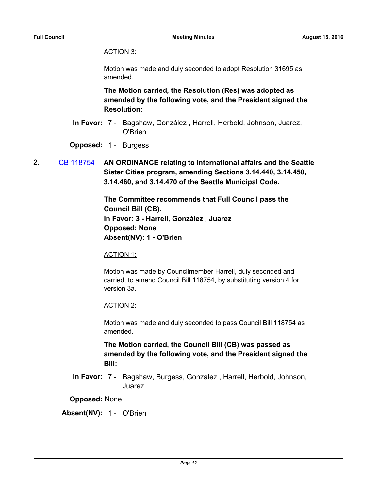# ACTION 3:

Motion was made and duly seconded to adopt Resolution 31695 as amended.

**The Motion carried, the Resolution (Res) was adopted as amended by the following vote, and the President signed the Resolution:**

- In Favor: 7 Bagshaw, González, Harrell, Herbold, Johnson, Juarez, O'Brien
- **Opposed:** 1 Burgess
- **2.** [CB 118754](http://seattle.legistar.com/gateway.aspx?m=l&id=/matter.aspx?key=4369) **AN ORDINANCE relating to international affairs and the Seattle Sister Cities program, amending Sections 3.14.440, 3.14.450, 3.14.460, and 3.14.470 of the Seattle Municipal Code.**

**The Committee recommends that Full Council pass the Council Bill (CB). In Favor: 3 - Harrell, González , Juarez Opposed: None Absent(NV): 1 - O'Brien**

#### ACTION 1:

Motion was made by Councilmember Harrell, duly seconded and carried, to amend Council Bill 118754, by substituting version 4 for version 3a.

## ACTION 2:

Motion was made and duly seconded to pass Council Bill 118754 as amended.

**The Motion carried, the Council Bill (CB) was passed as amended by the following vote, and the President signed the Bill:**

In Favor: 7 - Bagshaw, Burgess, González, Harrell, Herbold, Johnson, Juarez

**Opposed:** None

**Absent(NV):** 1 - O'Brien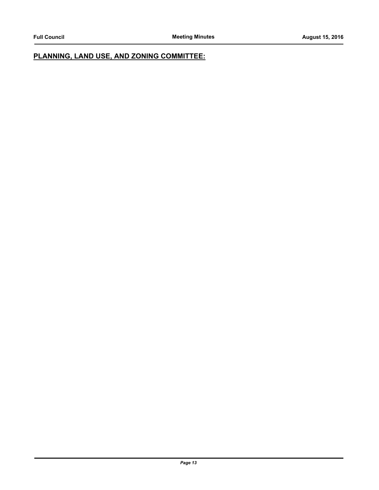# **PLANNING, LAND USE, AND ZONING COMMITTEE:**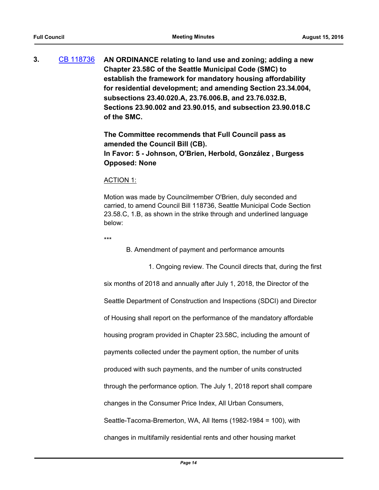**3.** [CB 118736](http://seattle.legistar.com/gateway.aspx?m=l&id=/matter.aspx?key=4295) **AN ORDINANCE relating to land use and zoning; adding a new Chapter 23.58C of the Seattle Municipal Code (SMC) to establish the framework for mandatory housing affordability for residential development; and amending Section 23.34.004, subsections 23.40.020.A, 23.76.006.B, and 23.76.032.B, Sections 23.90.002 and 23.90.015, and subsection 23.90.018.C of the SMC.**

> **The Committee recommends that Full Council pass as amended the Council Bill (CB). In Favor: 5 - Johnson, O'Brien, Herbold, González , Burgess Opposed: None**

#### ACTION 1:

Motion was made by Councilmember O'Brien, duly seconded and carried, to amend Council Bill 118736, Seattle Municipal Code Section 23.58.C, 1.B, as shown in the strike through and underlined language below:

\*\*\*

B. Amendment of payment and performance amounts

1. Ongoing review. The Council directs that, during the first

six months of 2018 and annually after July 1, 2018, the Director of the

Seattle Department of Construction and Inspections (SDCI) and Director

of Housing shall report on the performance of the mandatory affordable

housing program provided in Chapter 23.58C, including the amount of

payments collected under the payment option, the number of units

produced with such payments, and the number of units constructed

through the performance option. The July 1, 2018 report shall compare

changes in the Consumer Price Index, All Urban Consumers,

Seattle-Tacoma-Bremerton, WA, All Items (1982-1984 = 100), with

changes in multifamily residential rents and other housing market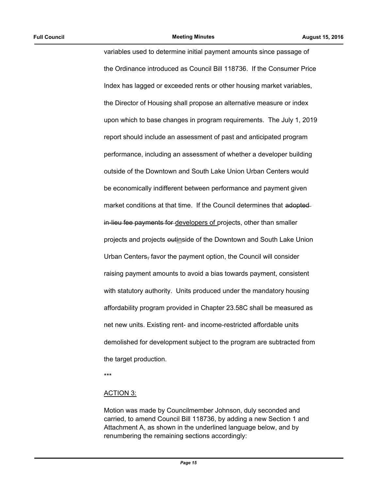variables used to determine initial payment amounts since passage of the Ordinance introduced as Council Bill 118736. If the Consumer Price Index has lagged or exceeded rents or other housing market variables, the Director of Housing shall propose an alternative measure or index upon which to base changes in program requirements. The July 1, 2019 report should include an assessment of past and anticipated program performance, including an assessment of whether a developer building outside of the Downtown and South Lake Union Urban Centers would be economically indifferent between performance and payment given market conditions at that time. If the Council determines that adopted in-lieu fee payments for developers of projects, other than smaller projects and projects outinside of the Downtown and South Lake Union Urban Centers, favor the payment option, the Council will consider raising payment amounts to avoid a bias towards payment, consistent with statutory authority. Units produced under the mandatory housing affordability program provided in Chapter 23.58C shall be measured as net new units. Existing rent- and income-restricted affordable units demolished for development subject to the program are subtracted from the target production.

\*\*\*

#### ACTION 3:

Motion was made by Councilmember Johnson, duly seconded and carried, to amend Council Bill 118736, by adding a new Section 1 and Attachment A, as shown in the underlined language below, and by renumbering the remaining sections accordingly: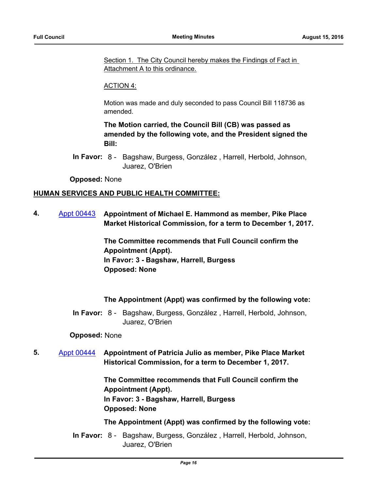Section 1. The City Council hereby makes the Findings of Fact in Attachment A to this ordinance.

#### ACTION 4:

Motion was made and duly seconded to pass Council Bill 118736 as amended.

**The Motion carried, the Council Bill (CB) was passed as amended by the following vote, and the President signed the Bill:**

In Favor: 8 - Bagshaw, Burgess, González, Harrell, Herbold, Johnson, Juarez, O'Brien

#### **Opposed:** None

#### **HUMAN SERVICES AND PUBLIC HEALTH COMMITTEE:**

**4.** [Appt 00443](http://seattle.legistar.com/gateway.aspx?m=l&id=/matter.aspx?key=4177) **Appointment of Michael E. Hammond as member, Pike Place Market Historical Commission, for a term to December 1, 2017.**

> **The Committee recommends that Full Council confirm the Appointment (Appt). In Favor: 3 - Bagshaw, Harrell, Burgess Opposed: None**

## **The Appointment (Appt) was confirmed by the following vote:**

In Favor: 8 - Bagshaw, Burgess, González, Harrell, Herbold, Johnson, Juarez, O'Brien

#### **Opposed:** None

**5.** [Appt 00444](http://seattle.legistar.com/gateway.aspx?m=l&id=/matter.aspx?key=4178) **Appointment of Patricia Julio as member, Pike Place Market Historical Commission, for a term to December 1, 2017.**

> **The Committee recommends that Full Council confirm the Appointment (Appt). In Favor: 3 - Bagshaw, Harrell, Burgess Opposed: None**

#### **The Appointment (Appt) was confirmed by the following vote:**

In Favor: 8 - Bagshaw, Burgess, González, Harrell, Herbold, Johnson, Juarez, O'Brien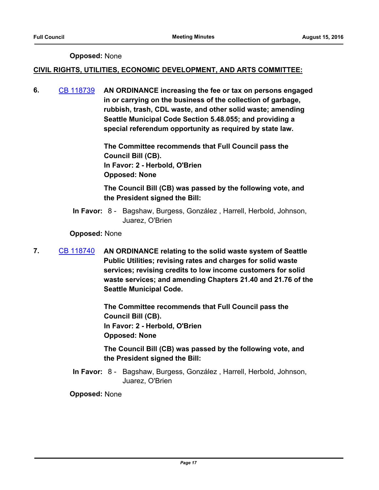## **Opposed:** None

## **CIVIL RIGHTS, UTILITIES, ECONOMIC DEVELOPMENT, AND ARTS COMMITTEE:**

**6.** [CB 118739](http://seattle.legistar.com/gateway.aspx?m=l&id=/matter.aspx?key=4111) **AN ORDINANCE increasing the fee or tax on persons engaged in or carrying on the business of the collection of garbage, rubbish, trash, CDL waste, and other solid waste; amending Seattle Municipal Code Section 5.48.055; and providing a special referendum opportunity as required by state law.**

> **The Committee recommends that Full Council pass the Council Bill (CB). In Favor: 2 - Herbold, O'Brien Opposed: None**

# **The Council Bill (CB) was passed by the following vote, and the President signed the Bill:**

In Favor: 8 - Bagshaw, Burgess, González, Harrell, Herbold, Johnson, Juarez, O'Brien

## **Opposed:** None

**7.** [CB 118740](http://seattle.legistar.com/gateway.aspx?m=l&id=/matter.aspx?key=4208) **AN ORDINANCE relating to the solid waste system of Seattle Public Utilities; revising rates and charges for solid waste services; revising credits to low income customers for solid waste services; and amending Chapters 21.40 and 21.76 of the Seattle Municipal Code.**

> **The Committee recommends that Full Council pass the Council Bill (CB). In Favor: 2 - Herbold, O'Brien Opposed: None**

**The Council Bill (CB) was passed by the following vote, and the President signed the Bill:**

In Favor: 8 - Bagshaw, Burgess, González, Harrell, Herbold, Johnson, Juarez, O'Brien

**Opposed:** None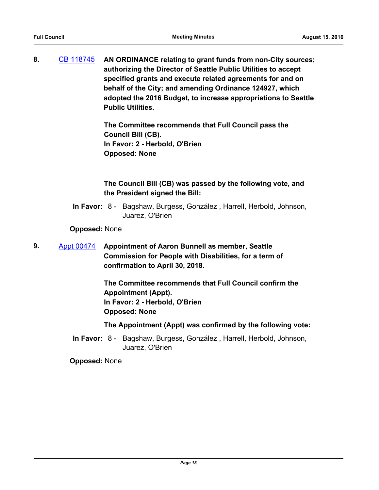**8.** [CB 118745](http://seattle.legistar.com/gateway.aspx?m=l&id=/matter.aspx?key=4245) **AN ORDINANCE relating to grant funds from non-City sources; authorizing the Director of Seattle Public Utilities to accept specified grants and execute related agreements for and on behalf of the City; and amending Ordinance 124927, which adopted the 2016 Budget, to increase appropriations to Seattle Public Utilities.**

> **The Committee recommends that Full Council pass the Council Bill (CB). In Favor: 2 - Herbold, O'Brien Opposed: None**

**The Council Bill (CB) was passed by the following vote, and the President signed the Bill:**

In Favor: 8 - Bagshaw, Burgess, González, Harrell, Herbold, Johnson, Juarez, O'Brien

**Opposed:** None

**9.** [Appt 00474](http://seattle.legistar.com/gateway.aspx?m=l&id=/matter.aspx?key=4298) **Appointment of Aaron Bunnell as member, Seattle Commission for People with Disabilities, for a term of confirmation to April 30, 2018.**

> **The Committee recommends that Full Council confirm the Appointment (Appt). In Favor: 2 - Herbold, O'Brien Opposed: None**

**The Appointment (Appt) was confirmed by the following vote:**

In Favor: 8 - Bagshaw, Burgess, González, Harrell, Herbold, Johnson, Juarez, O'Brien

**Opposed:** None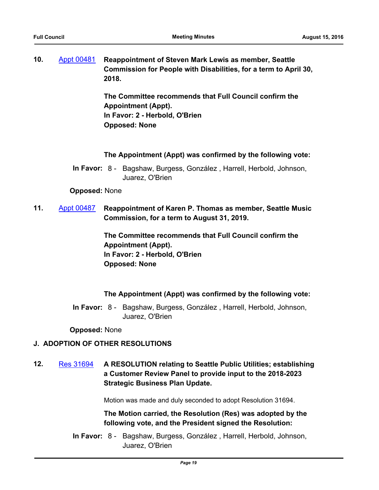| 10. | Appt 00481 Reappointment of Steven Mark Lewis as member, Seattle<br>Commission for People with Disabilities, for a term to April 30, |
|-----|--------------------------------------------------------------------------------------------------------------------------------------|
|     | 2018.                                                                                                                                |

**The Committee recommends that Full Council confirm the Appointment (Appt). In Favor: 2 - Herbold, O'Brien Opposed: None**

#### **The Appointment (Appt) was confirmed by the following vote:**

In Favor: 8 - Bagshaw, Burgess, González, Harrell, Herbold, Johnson, Juarez, O'Brien

#### **Opposed:** None

**11.** [Appt 00487](http://seattle.legistar.com/gateway.aspx?m=l&id=/matter.aspx?key=4400) **Reappointment of Karen P. Thomas as member, Seattle Music Commission, for a term to August 31, 2019.**

> **The Committee recommends that Full Council confirm the Appointment (Appt). In Favor: 2 - Herbold, O'Brien Opposed: None**

## **The Appointment (Appt) was confirmed by the following vote:**

In Favor: 8 - Bagshaw, Burgess, González, Harrell, Herbold, Johnson, Juarez, O'Brien

**Opposed:** None

## **J. ADOPTION OF OTHER RESOLUTIONS**

**12.** [Res 31694](http://seattle.legistar.com/gateway.aspx?m=l&id=/matter.aspx?key=4213) **A RESOLUTION relating to Seattle Public Utilities; establishing a Customer Review Panel to provide input to the 2018-2023 Strategic Business Plan Update.**

Motion was made and duly seconded to adopt Resolution 31694.

**The Motion carried, the Resolution (Res) was adopted by the following vote, and the President signed the Resolution:**

In Favor: 8 - Bagshaw, Burgess, González, Harrell, Herbold, Johnson, Juarez, O'Brien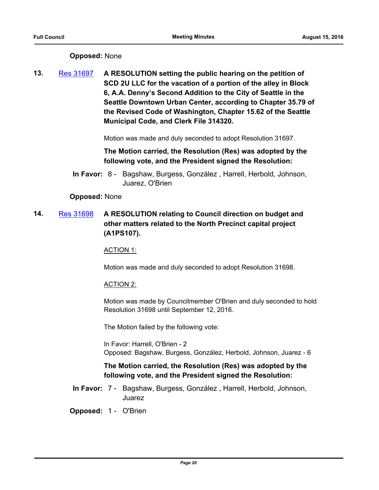# **Opposed:** None

**13.** [Res 31697](http://seattle.legistar.com/gateway.aspx?m=l&id=/matter.aspx?key=4389) **A RESOLUTION setting the public hearing on the petition of SCD 2U LLC for the vacation of a portion of the alley in Block 6, A.A. Denny's Second Addition to the City of Seattle in the Seattle Downtown Urban Center, according to Chapter 35.79 of the Revised Code of Washington, Chapter 15.62 of the Seattle Municipal Code, and Clerk File 314320.**

Motion was made and duly seconded to adopt Resolution 31697.

**The Motion carried, the Resolution (Res) was adopted by the following vote, and the President signed the Resolution:**

In Favor: 8 - Bagshaw, Burgess, González, Harrell, Herbold, Johnson, Juarez, O'Brien

## **Opposed:** None

**14.** [Res 31698](http://seattle.legistar.com/gateway.aspx?m=l&id=/matter.aspx?key=4426) **A RESOLUTION relating to Council direction on budget and other matters related to the North Precinct capital project (A1PS107).**

## ACTION 1:

Motion was made and duly seconded to adopt Resolution 31698.

## ACTION 2:

Motion was made by Councilmember O'Brien and duly seconded to hold Resolution 31698 until September 12, 2016.

The Motion failed by the following vote:

In Favor: Harrell, O'Brien - 2 Opposed: Bagshaw, Burgess, González, Herbold, Johnson, Juarez - 6

# **The Motion carried, the Resolution (Res) was adopted by the following vote, and the President signed the Resolution:**

In Favor: 7 - Bagshaw, Burgess, González, Harrell, Herbold, Johnson, Juarez

## **Opposed:** 1 - O'Brien